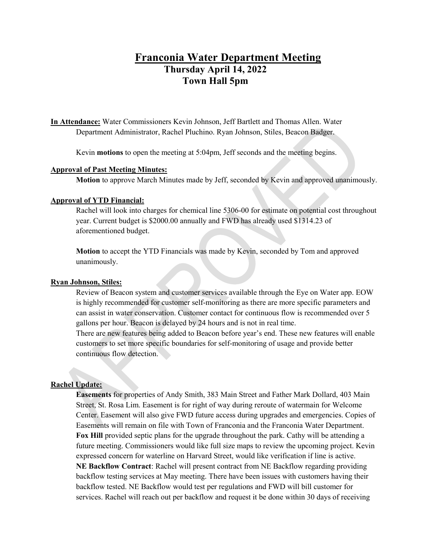# **Franconia Water Department Meeting Thursday April 14, 2022 Town Hall 5pm**

**In Attendance:** Water Commissioners Kevin Johnson, Jeff Bartlett and Thomas Allen. Water Department Administrator, Rachel Pluchino. Ryan Johnson, Stiles, Beacon Badger.

Kevin **motions** to open the meeting at 5:04pm, Jeff seconds and the meeting begins.

### **Approval of Past Meeting Minutes:**

**Motion** to approve March Minutes made by Jeff, seconded by Kevin and approved unanimously.

## **Approval of YTD Financial:**

Rachel will look into charges for chemical line 5306-00 for estimate on potential cost throughout year. Current budget is \$2000.00 annually and FWD has already used \$1314.23 of aforementioned budget.

**Motion** to accept the YTD Financials was made by Kevin, seconded by Tom and approved unanimously.

#### **Ryan Johnson, Stiles:**

Review of Beacon system and customer services available through the Eye on Water app. EOW is highly recommended for customer self-monitoring as there are more specific parameters and can assist in water conservation. Customer contact for continuous flow is recommended over 5 gallons per hour. Beacon is delayed by 24 hours and is not in real time.

There are new features being added to Beacon before year's end. These new features will enable customers to set more specific boundaries for self-monitoring of usage and provide better continuous flow detection.

#### **Rachel Update:**

**Easements** for properties of Andy Smith, 383 Main Street and Father Mark Dollard, 403 Main Street, St. Rosa Lim. Easement is for right of way during reroute of watermain for Welcome Center. Easement will also give FWD future access during upgrades and emergencies. Copies of Easements will remain on file with Town of Franconia and the Franconia Water Department. **Fox Hill** provided septic plans for the upgrade throughout the park. Cathy will be attending a future meeting. Commissioners would like full size maps to review the upcoming project. Kevin expressed concern for waterline on Harvard Street, would like verification if line is active. **NE Backflow Contract**: Rachel will present contract from NE Backflow regarding providing backflow testing services at May meeting. There have been issues with customers having their backflow tested. NE Backflow would test per regulations and FWD will bill customer for services. Rachel will reach out per backflow and request it be done within 30 days of receiving